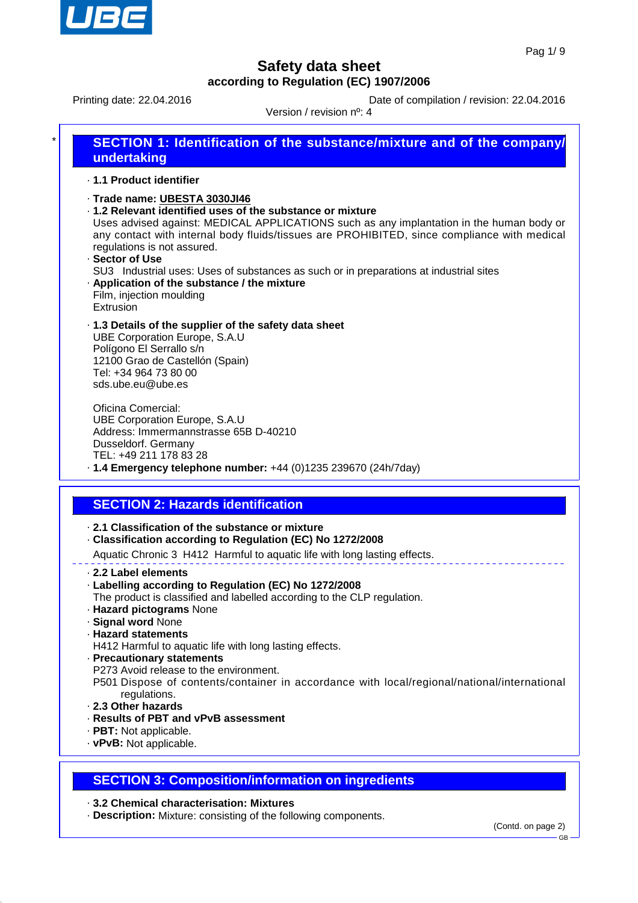

Printing date: 22.04.2016 **Date of compilation / revision: 22.04.2016** 

Version / revision nº: 4

| *۱ | SECTION 1: Identification of the substance/mixture and of the company/<br>undertaking                                                                                                   |
|----|-----------------------------------------------------------------------------------------------------------------------------------------------------------------------------------------|
|    | .1.1 Product identifier                                                                                                                                                                 |
|    | Trade name: UBESTA 3030JI46<br>.1.2 Relevant identified uses of the substance or mixture                                                                                                |
|    | Uses advised against: MEDICAL APPLICATIONS such as any implantation in the human body or<br>any contact with internal body fluids/tissues are PROHIBITED, since compliance with medical |

- regulations is not assured. · **Sector of Use** SU3 Industrial uses: Uses of substances as such or in preparations at industrial sites
- · **Application of the substance / the mixture** Film, injection moulding Extrusion
- · **1.3 Details of the supplier of the safety data sheet** UBE Corporation Europe, S.A.U Polígono El Serrallo s/n 12100 Grao de Castellón (Spain) Tel: +34 964 73 80 00 sds.ube.eu@ube.es

Oficina Comercial: UBE Corporation Europe, S.A.U Address: Immermannstrasse 65B D-40210 Dusseldorf. Germany TEL: +49 211 178 83 28 · **1.4 Emergency telephone number:** +44 (0)1235 239670 (24h/7day)

# **SECTION 2: Hazards identification**

- · **2.1 Classification of the substance or mixture**
- · **Classification according to Regulation (EC) No 1272/2008**

Aquatic Chronic 3 H412 Harmful to aquatic life with long lasting effects.

- · **2.2 Label elements**
- · **Labelling according to Regulation (EC) No 1272/2008**
- The product is classified and labelled according to the CLP regulation.
- · **Hazard pictograms** None
- · **Signal word** None
- · **Hazard statements**
- H412 Harmful to aquatic life with long lasting effects.
- · **Precautionary statements**
- P273 Avoid release to the environment.
- P501 Dispose of contents/container in accordance with local/regional/national/international regulations.
- · **2.3 Other hazards**
- · **Results of PBT and vPvB assessment**
- · **PBT:** Not applicable.
- · **vPvB:** Not applicable.

### **SECTION 3: Composition/information on ingredients**

#### · **3.2 Chemical characterisation: Mixtures**

· **Description:** Mixture: consisting of the following components.

GB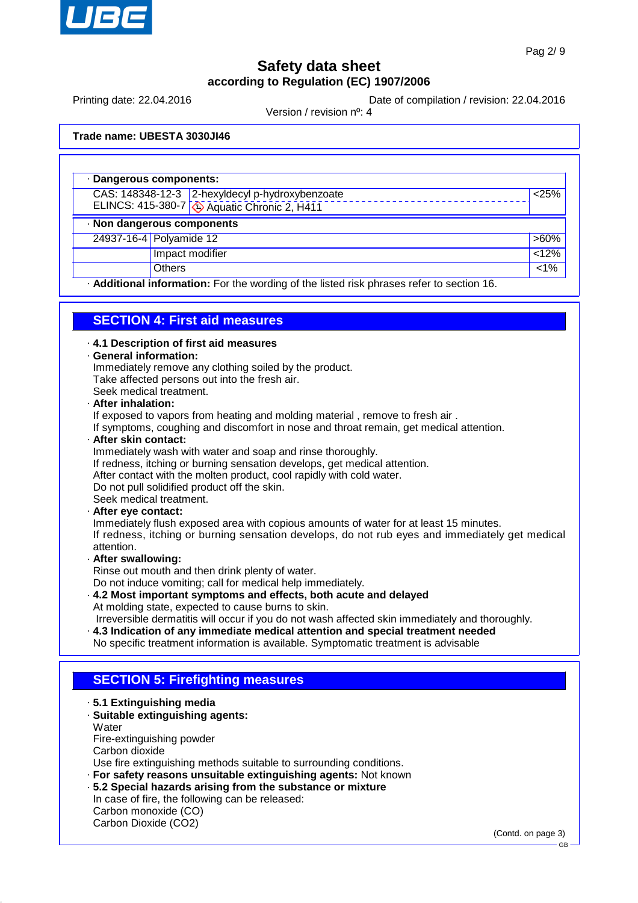

Printing date: 22.04.2016 **Date of compilation / revision: 22.04.2016** 

Version / revision nº: 4

**Trade name: UBESTA 3030JI46**

|                            | · Dangerous components:                                                                   |         |  |  |  |
|----------------------------|-------------------------------------------------------------------------------------------|---------|--|--|--|
|                            | CAS: 148348-12-3 2-hexyldecyl p-hydroxybenzoate                                           | < 25%   |  |  |  |
|                            | ELINCS: 415-380-7 4 Aquatic Chronic 2, H411                                               |         |  |  |  |
| · Non dangerous components |                                                                                           |         |  |  |  |
|                            | 24937-16-4 Polyamide 12                                                                   | $>60\%$ |  |  |  |
|                            | Impact modifier                                                                           | 12%     |  |  |  |
|                            | <b>Others</b>                                                                             | $< 1\%$ |  |  |  |
|                            | - Additional information: For the wording of the listed risk phrases refer to section 16. |         |  |  |  |

### **SECTION 4: First aid measures**

· **4.1 Description of first aid measures**

#### · **General information:**

Immediately remove any clothing soiled by the product. Take affected persons out into the fresh air. Seek medical treatment.

#### · **After inhalation:**

If exposed to vapors from heating and molding material , remove to fresh air .

If symptoms, coughing and discomfort in nose and throat remain, get medical attention.

#### · **After skin contact:**

Immediately wash with water and soap and rinse thoroughly.

- If redness, itching or burning sensation develops, get medical attention.
- After contact with the molten product, cool rapidly with cold water.

Do not pull solidified product off the skin.

Seek medical treatment.

#### · **After eye contact:**

Immediately flush exposed area with copious amounts of water for at least 15 minutes. If redness, itching or burning sensation develops, do not rub eyes and immediately get medical attention.

#### · **After swallowing:**

Rinse out mouth and then drink plenty of water. Do not induce vomiting; call for medical help immediately.

- · **4.2 Most important symptoms and effects, both acute and delayed** At molding state, expected to cause burns to skin. Irreversible dermatitis will occur if you do not wash affected skin immediately and thoroughly.
- · **4.3 Indication of any immediate medical attention and special treatment needed** No specific treatment information is available. Symptomatic treatment is advisable

### **SECTION 5: Firefighting measures**

- · **5.1 Extinguishing media**
- · **Suitable extinguishing agents:**
- **Water** Fire-extinguishing powder Carbon dioxide

Use fire extinguishing methods suitable to surrounding conditions.

- · **For safety reasons unsuitable extinguishing agents:** Not known
- · **5.2 Special hazards arising from the substance or mixture**
- In case of fire, the following can be released: Carbon monoxide (CO)

Carbon Dioxide (CO2)

(Contd. on page 3)

GB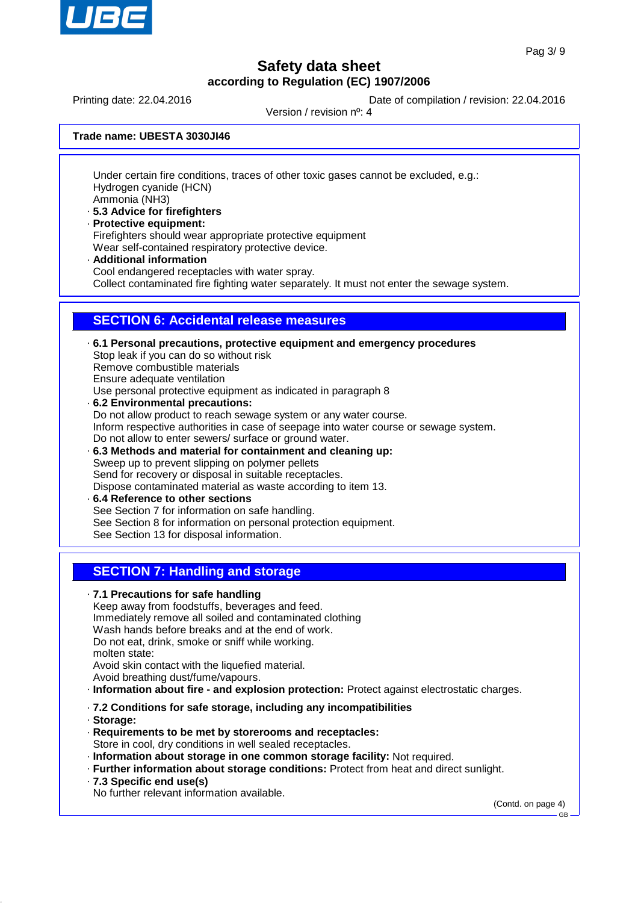

Printing date: 22.04.2016 **Date of compilation / revision: 22.04.2016** 

Version / revision nº: 4

**Trade name: UBESTA 3030JI46**

Under certain fire conditions, traces of other toxic gases cannot be excluded, e.g.: Hydrogen cyanide (HCN) Ammonia (NH3)

- · **5.3 Advice for firefighters**
- · **Protective equipment:** Firefighters should wear appropriate protective equipment Wear self-contained respiratory protective device.
- · **Additional information**

Cool endangered receptacles with water spray.

Collect contaminated fire fighting water separately. It must not enter the sewage system.

### **SECTION 6: Accidental release measures**

· **6.1 Personal precautions, protective equipment and emergency procedures** Stop leak if you can do so without risk Remove combustible materials Ensure adequate ventilation Use personal protective equipment as indicated in paragraph 8 · **6.2 Environmental precautions:** Do not allow product to reach sewage system or any water course. Inform respective authorities in case of seepage into water course or sewage system. Do not allow to enter sewers/ surface or ground water. · **6.3 Methods and material for containment and cleaning up:** Sweep up to prevent slipping on polymer pellets Send for recovery or disposal in suitable receptacles. Dispose contaminated material as waste according to item 13.

· **6.4 Reference to other sections** See Section 7 for information on safe handling. See Section 8 for information on personal protection equipment. See Section 13 for disposal information.

### **SECTION 7: Handling and storage**

· **7.1 Precautions for safe handling** Keep away from foodstuffs, beverages and feed. Immediately remove all soiled and contaminated clothing Wash hands before breaks and at the end of work. Do not eat, drink, smoke or sniff while working. molten state: Avoid skin contact with the liquefied material. Avoid breathing dust/fume/vapours.

- · **Information about fire and explosion protection:** Protect against electrostatic charges.
- · **7.2 Conditions for safe storage, including any incompatibilities**
- · **Storage:**
- · **Requirements to be met by storerooms and receptacles:** Store in cool, dry conditions in well sealed receptacles.
- · **Information about storage in one common storage facility:** Not required.
- · **Further information about storage conditions:** Protect from heat and direct sunlight.
- · **7.3 Specific end use(s)**

No further relevant information available.

(Contd. on page 4)

GB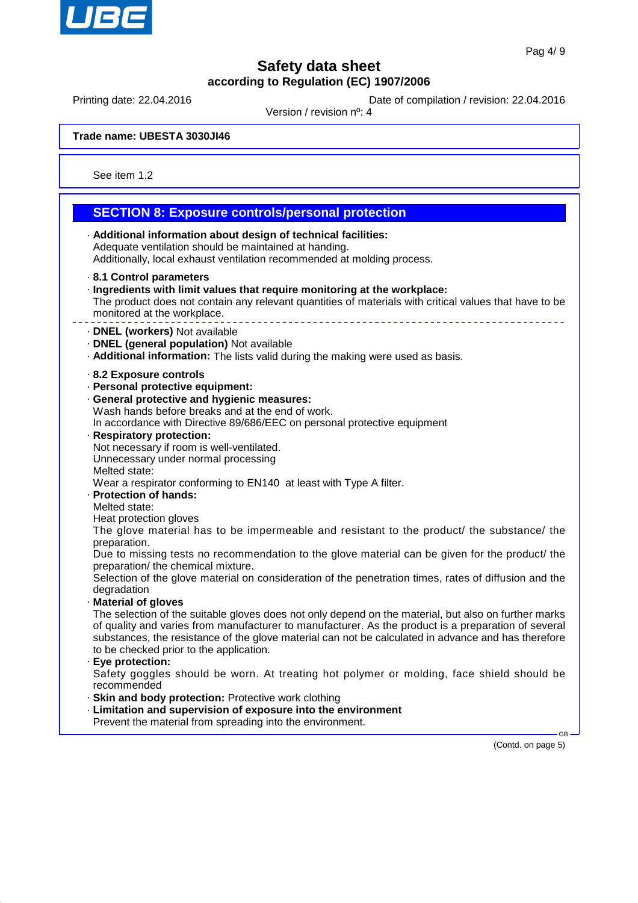

Printing date: 22.04.2016 **Date of compilation / revision: 22.04.2016** 

Version / revision nº: 4

**Trade name: UBESTA 3030JI46**

See item 1.2

#### **SECTION 8: Exposure controls/personal protection** · **Additional information about design of technical facilities:** Adequate ventilation should be maintained at handing. Additionally, local exhaust ventilation recommended at molding process. · **8.1 Control parameters** · **Ingredients with limit values that require monitoring at the workplace:** The product does not contain any relevant quantities of materials with critical values that have to be monitored at the workplace. · **DNEL (workers)** Not available · **DNEL (general population)** Not available · **Additional information:** The lists valid during the making were used as basis. · **8.2 Exposure controls** · **Personal protective equipment:** · **General protective and hygienic measures:** Wash hands before breaks and at the end of work. In accordance with Directive 89/686/EEC on personal protective equipment · **Respiratory protection:** Not necessary if room is well-ventilated. Unnecessary under normal processing Melted state: Wear a respirator conforming to EN140 at least with Type A filter. · **Protection of hands:** Melted state: Heat protection gloves The glove material has to be impermeable and resistant to the product/ the substance/ the preparation. Due to missing tests no recommendation to the glove material can be given for the product/ the preparation/ the chemical mixture. Selection of the glove material on consideration of the penetration times, rates of diffusion and the degradation · **Material of gloves** The selection of the suitable gloves does not only depend on the material, but also on further marks of quality and varies from manufacturer to manufacturer. As the product is a preparation of several substances, the resistance of the glove material can not be calculated in advance and has therefore to be checked prior to the application. · **Eye protection:** Safety goggles should be worn. At treating hot polymer or molding, face shield should be recommended · **Skin and body protection:** Protective work clothing · **Limitation and supervision of exposure into the environment** Prevent the material from spreading into the environment.

(Contd. on page 5)

GB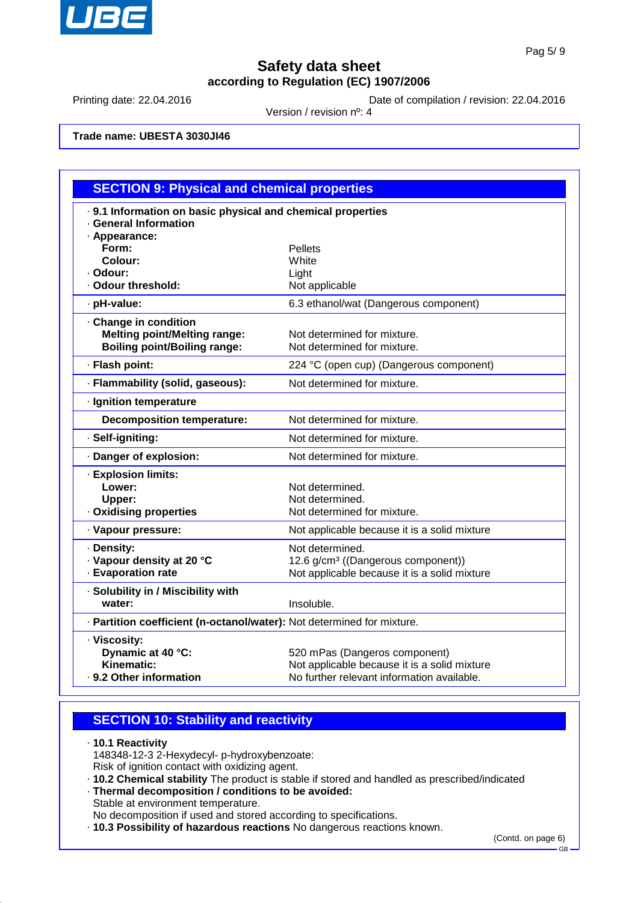

Printing date: 22.04.2016 Date of compilation / revision: 22.04.2016

Version / revision nº: 4

**Trade name: UBESTA 3030JI46**

| <b>SECTION 9: Physical and chemical properties</b>                     |                                                |  |  |  |
|------------------------------------------------------------------------|------------------------------------------------|--|--|--|
| . 9.1 Information on basic physical and chemical properties            |                                                |  |  |  |
| · General Information                                                  |                                                |  |  |  |
| · Appearance:                                                          |                                                |  |  |  |
| Form:<br>Colour:                                                       | <b>Pellets</b><br>White                        |  |  |  |
| · Odour:                                                               | Light                                          |  |  |  |
| · Odour threshold:                                                     | Not applicable                                 |  |  |  |
| · pH-value:                                                            | 6.3 ethanol/wat (Dangerous component)          |  |  |  |
| Change in condition                                                    |                                                |  |  |  |
| <b>Melting point/Melting range:</b>                                    | Not determined for mixture.                    |  |  |  |
| <b>Boiling point/Boiling range:</b>                                    | Not determined for mixture.                    |  |  |  |
| · Flash point:                                                         | 224 °C (open cup) (Dangerous component)        |  |  |  |
| · Flammability (solid, gaseous):                                       | Not determined for mixture.                    |  |  |  |
| · Ignition temperature                                                 |                                                |  |  |  |
| <b>Decomposition temperature:</b>                                      | Not determined for mixture.                    |  |  |  |
| · Self-igniting:                                                       | Not determined for mixture.                    |  |  |  |
| · Danger of explosion:                                                 | Not determined for mixture.                    |  |  |  |
| · Explosion limits:                                                    |                                                |  |  |  |
| Lower:                                                                 | Not determined.                                |  |  |  |
| Upper:                                                                 | Not determined.                                |  |  |  |
| · Oxidising properties                                                 | Not determined for mixture.                    |  |  |  |
| · Vapour pressure:                                                     | Not applicable because it is a solid mixture   |  |  |  |
| · Density:                                                             | Not determined.                                |  |  |  |
| · Vapour density at 20 °C                                              | 12.6 g/cm <sup>3</sup> ((Dangerous component)) |  |  |  |
| · Evaporation rate                                                     | Not applicable because it is a solid mixture   |  |  |  |
| · Solubility in / Miscibility with                                     |                                                |  |  |  |
| water:                                                                 | Insoluble.                                     |  |  |  |
| · Partition coefficient (n-octanol/water): Not determined for mixture. |                                                |  |  |  |
| · Viscosity:                                                           |                                                |  |  |  |
| Dynamic at 40 °C:                                                      | 520 mPas (Dangeros component)                  |  |  |  |
| Kinematic:                                                             | Not applicable because it is a solid mixture   |  |  |  |
| · 9.2 Other information                                                | No further relevant information available.     |  |  |  |

### **SECTION 10: Stability and reactivity**

· **10.1 Reactivity** 148348-12-3 2-Hexydecyl- p-hydroxybenzoate: Risk of ignition contact with oxidizing agent.

- · **10.2 Chemical stability** The product is stable if stored and handled as prescribed/indicated
- · **Thermal decomposition / conditions to be avoided:** Stable at environment temperature.

No decomposition if used and stored according to specifications.

· **10.3 Possibility of hazardous reactions** No dangerous reactions known.

(Contd. on page 6)

GB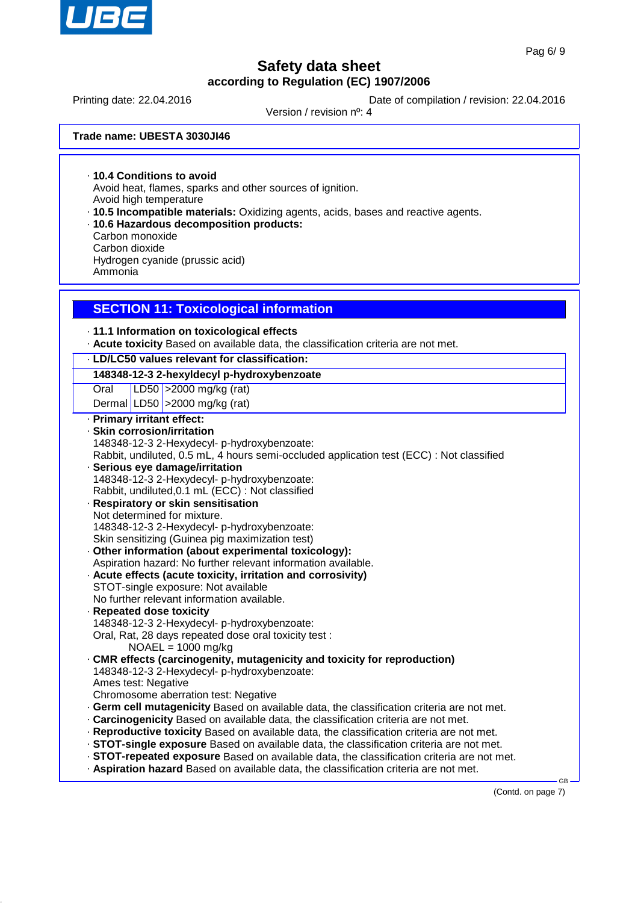

Printing date: 22.04.2016 **Date of compilation / revision: 22.04.2016** 

Version / revision nº: 4

**Trade name: UBESTA 3030JI46**

· **10.4 Conditions to avoid** Avoid heat, flames, sparks and other sources of ignition. Avoid high temperature

- · **10.5 Incompatible materials:** Oxidizing agents, acids, bases and reactive agents.
- · **10.6 Hazardous decomposition products:** Carbon monoxide Carbon dioxide Hydrogen cyanide (prussic acid) Ammonia

### **SECTION 11: Toxicological information**

· **11.1 Information on toxicological effects**

· **Acute toxicity** Based on available data, the classification criteria are not met.

#### · **LD/LC50 values relevant for classification:**

#### **148348-12-3 2-hexyldecyl p-hydroxybenzoate**

Oral LD50 >2000 mg/kg (rat)

Dermal LD50  $\vert$  >2000 mg/kg (rat)

· **Primary irritant effect:** · **Skin corrosion/irritation** 148348-12-3 2-Hexydecyl- p-hydroxybenzoate: Rabbit, undiluted, 0.5 mL, 4 hours semi-occluded application test (ECC) : Not classified · **Serious eye damage/irritation** 148348-12-3 2-Hexydecyl- p-hydroxybenzoate: Rabbit, undiluted,0.1 mL (ECC) : Not classified · **Respiratory or skin sensitisation** Not determined for mixture. 148348-12-3 2-Hexydecyl- p-hydroxybenzoate: Skin sensitizing (Guinea pig maximization test) · **Other information (about experimental toxicology):** Aspiration hazard: No further relevant information available. · **Acute effects (acute toxicity, irritation and corrosivity)** STOT-single exposure: Not available No further relevant information available. · **Repeated dose toxicity** 148348-12-3 2-Hexydecyl- p-hydroxybenzoate: Oral, Rat, 28 days repeated dose oral toxicity test : NOAEL = 1000 mg/kg · **CMR effects (carcinogenity, mutagenicity and toxicity for reproduction)** 148348-12-3 2-Hexydecyl- p-hydroxybenzoate: Ames test: Negative Chromosome aberration test: Negative · **Germ cell mutagenicity** Based on available data, the classification criteria are not met. · **Carcinogenicity** Based on available data, the classification criteria are not met. · **Reproductive toxicity** Based on available data, the classification criteria are not met. · **STOT-single exposure** Based on available data, the classification criteria are not met. · **STOT-repeated exposure** Based on available data, the classification criteria are not met. · **Aspiration hazard** Based on available data, the classification criteria are not met.

(Contd. on page 7)

GB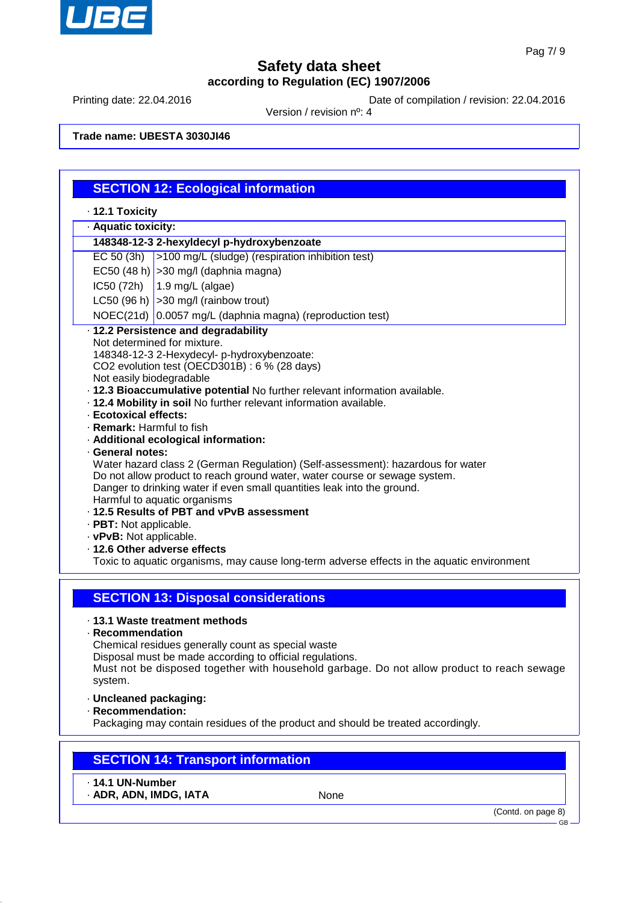

Printing date: 22.04.2016 **Date of compilation / revision: 22.04.2016** 

Version / revision nº: 4

**Trade name: UBESTA 3030JI46**

|                                                   | <b>SECTION 12: Ecological information</b>                                                                                                              |  |  |  |  |
|---------------------------------------------------|--------------------------------------------------------------------------------------------------------------------------------------------------------|--|--|--|--|
| · 12.1 Toxicity                                   |                                                                                                                                                        |  |  |  |  |
| · Aquatic toxicity:                               |                                                                                                                                                        |  |  |  |  |
|                                                   | 148348-12-3 2-hexyldecyl p-hydroxybenzoate                                                                                                             |  |  |  |  |
| EC 50 (3h)                                        | >100 mg/L (sludge) (respiration inhibition test)                                                                                                       |  |  |  |  |
|                                                   | EC50 (48 h) $ >$ 30 mg/l (daphnia magna)                                                                                                               |  |  |  |  |
| IC50 (72h)                                        | 1.9 mg/L (algae)                                                                                                                                       |  |  |  |  |
|                                                   | LC50 (96 h) $ >$ 30 mg/l (rainbow trout)                                                                                                               |  |  |  |  |
|                                                   | NOEC(21d) 0.0057 mg/L (daphnia magna) (reproduction test)                                                                                              |  |  |  |  |
|                                                   | · 12.2 Persistence and degradability                                                                                                                   |  |  |  |  |
|                                                   | Not determined for mixture.                                                                                                                            |  |  |  |  |
|                                                   | 148348-12-3 2-Hexydecyl- p-hydroxybenzoate:                                                                                                            |  |  |  |  |
|                                                   | CO2 evolution test (OECD301B) : 6 % (28 days)                                                                                                          |  |  |  |  |
| Not easily biodegradable                          | · 12.3 Bioaccumulative potential No further relevant information available.                                                                            |  |  |  |  |
|                                                   | . 12.4 Mobility in soil No further relevant information available.                                                                                     |  |  |  |  |
| · Ecotoxical effects:                             |                                                                                                                                                        |  |  |  |  |
| · Remark: Harmful to fish                         |                                                                                                                                                        |  |  |  |  |
|                                                   | · Additional ecological information:                                                                                                                   |  |  |  |  |
| · General notes:                                  | Water hazard class 2 (German Regulation) (Self-assessment): hazardous for water                                                                        |  |  |  |  |
|                                                   | Do not allow product to reach ground water, water course or sewage system.                                                                             |  |  |  |  |
|                                                   | Danger to drinking water if even small quantities leak into the ground.                                                                                |  |  |  |  |
|                                                   | Harmful to aquatic organisms                                                                                                                           |  |  |  |  |
|                                                   | · 12.5 Results of PBT and vPvB assessment                                                                                                              |  |  |  |  |
| · PBT: Not applicable.<br>· vPvB: Not applicable. |                                                                                                                                                        |  |  |  |  |
|                                                   | · 12.6 Other adverse effects                                                                                                                           |  |  |  |  |
|                                                   | Toxic to aquatic organisms, may cause long-term adverse effects in the aquatic environment                                                             |  |  |  |  |
|                                                   |                                                                                                                                                        |  |  |  |  |
|                                                   |                                                                                                                                                        |  |  |  |  |
|                                                   | <b>SECTION 13: Disposal considerations</b>                                                                                                             |  |  |  |  |
|                                                   | · 13.1 Waste treatment methods                                                                                                                         |  |  |  |  |
| · Recommendation                                  |                                                                                                                                                        |  |  |  |  |
|                                                   | Chemical residues generally count as special waste                                                                                                     |  |  |  |  |
|                                                   | Disposal must be made according to official regulations.<br>Must not be disposed together with household garbage. Do not allow product to reach sewage |  |  |  |  |
| system.                                           |                                                                                                                                                        |  |  |  |  |
|                                                   | · Uncleaned packaging:                                                                                                                                 |  |  |  |  |
| · Recommendation:                                 |                                                                                                                                                        |  |  |  |  |
|                                                   | Packaging may contain residues of the product and should be treated accordingly.                                                                       |  |  |  |  |
|                                                   |                                                                                                                                                        |  |  |  |  |
|                                                   |                                                                                                                                                        |  |  |  |  |
|                                                   | <b>SECTION 14: Transport information</b>                                                                                                               |  |  |  |  |
| $\cdot$ 14.1 UN-Number                            |                                                                                                                                                        |  |  |  |  |
| · ADR, ADN, IMDG, IATA                            | None                                                                                                                                                   |  |  |  |  |
|                                                   | (Contd. on page 8)                                                                                                                                     |  |  |  |  |
|                                                   | GB-                                                                                                                                                    |  |  |  |  |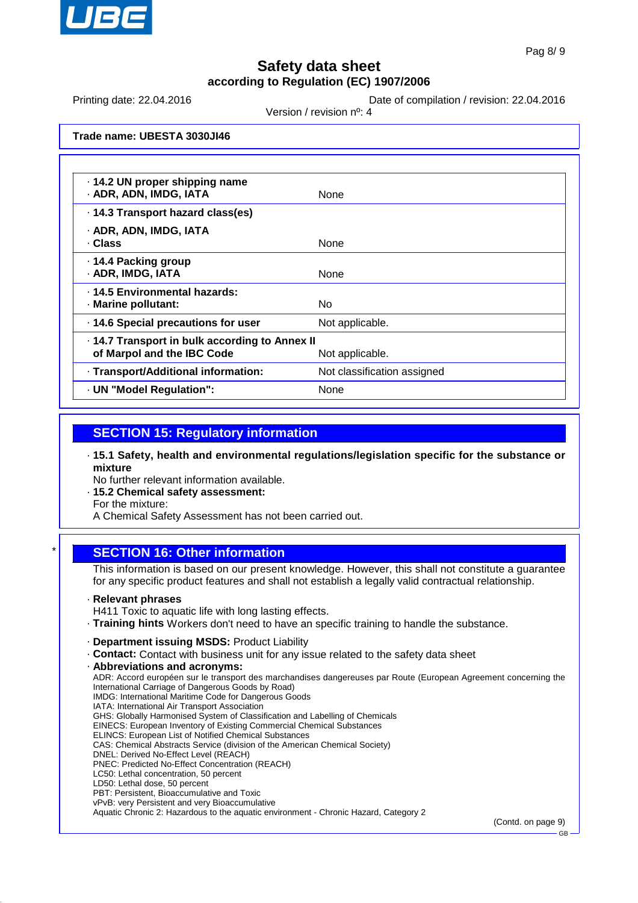

Printing date: 22.04.2016 **Date of compilation / revision: 22.04.2016** 

Version / revision nº: 4

**Trade name: UBESTA 3030JI46**

| · 14.2 UN proper shipping name<br>· ADR, ADN, IMDG, IATA                     | None                        |
|------------------------------------------------------------------------------|-----------------------------|
| · 14.3 Transport hazard class(es)                                            |                             |
| · ADR, ADN, IMDG, IATA<br>· Class                                            | None                        |
| · 14.4 Packing group<br>· ADR, IMDG, IATA                                    | None                        |
| . 14.5 Environmental hazards:<br>· Marine pollutant:                         | No.                         |
| · 14.6 Special precautions for user                                          | Not applicable.             |
| · 14.7 Transport in bulk according to Annex II<br>of Marpol and the IBC Code | Not applicable.             |
| · Transport/Additional information:                                          | Not classification assigned |
| · UN "Model Regulation":                                                     | None                        |

### **SECTION 15: Regulatory information**

· **15.1 Safety, health and environmental regulations/legislation specific for the substance or mixture**

No further relevant information available.

· **15.2 Chemical safety assessment:**

For the mixture:

A Chemical Safety Assessment has not been carried out.

### **SECTION 16: Other information**

This information is based on our present knowledge. However, this shall not constitute a guarantee for any specific product features and shall not establish a legally valid contractual relationship.

· **Relevant phrases**

H411 Toxic to aquatic life with long lasting effects.

- · **Training hints** Workers don't need to have an specific training to handle the substance.
- · **Department issuing MSDS:** Product Liability
- · **Contact:** Contact with business unit for any issue related to the safety data sheet
- · **Abbreviations and acronyms:**
- ADR: Accord européen sur le transport des marchandises dangereuses par Route (European Agreement concerning the International Carriage of Dangerous Goods by Road) IMDG: International Maritime Code for Dangerous Goods IATA: International Air Transport Association GHS: Globally Harmonised System of Classification and Labelling of Chemicals EINECS: European Inventory of Existing Commercial Chemical Substances ELINCS: European List of Notified Chemical Substances CAS: Chemical Abstracts Service (division of the American Chemical Society) DNEL: Derived No-Effect Level (REACH) PNEC: Predicted No-Effect Concentration (REACH) LC50: Lethal concentration, 50 percent LD50: Lethal dose, 50 percent PBT: Persistent, Bioaccumulative and Toxic
- vPvB: very Persistent and very Bioaccumulative

Aquatic Chronic 2: Hazardous to the aquatic environment - Chronic Hazard, Category 2

(Contd. on page 9)

GB